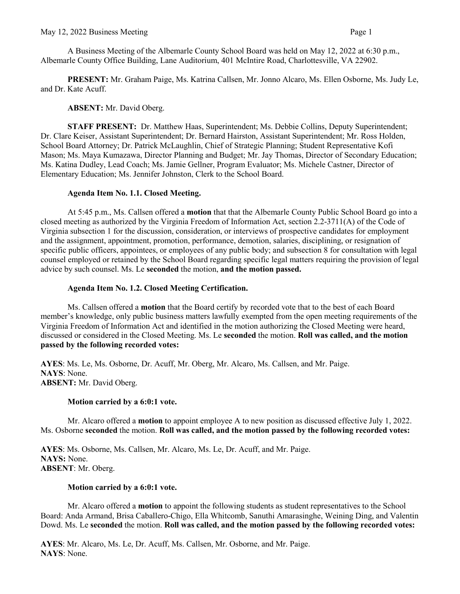A Business Meeting of the Albemarle County School Board was held on May 12, 2022 at 6:30 p.m., Albemarle County Office Building, Lane Auditorium, 401 McIntire Road, Charlottesville, VA 22902.

**PRESENT:** Mr. Graham Paige, Ms. Katrina Callsen, Mr. Jonno Alcaro, Ms. Ellen Osborne, Ms. Judy Le, and Dr. Kate Acuff.

**ABSENT:** Mr. David Oberg.

**STAFF PRESENT:** Dr. Matthew Haas, Superintendent; Ms. Debbie Collins, Deputy Superintendent; Dr. Clare Keiser, Assistant Superintendent; Dr. Bernard Hairston, Assistant Superintendent; Mr. Ross Holden, School Board Attorney; Dr. Patrick McLaughlin, Chief of Strategic Planning; Student Representative Kofi Mason; Ms. Maya Kumazawa, Director Planning and Budget; Mr. Jay Thomas, Director of Secondary Education; Ms. Katina Dudley, Lead Coach; Ms. Jamie Gellner, Program Evaluator; Ms. Michele Castner, Director of Elementary Education; Ms. Jennifer Johnston, Clerk to the School Board.

### **Agenda Item No. 1.1. Closed Meeting.**

At 5:45 p.m., Ms. Callsen offered a **motion** that that the Albemarle County Public School Board go into a closed meeting as authorized by the Virginia Freedom of Information Act, section 2.2-3711(A) of the Code of Virginia subsection 1 for the discussion, consideration, or interviews of prospective candidates for employment and the assignment, appointment, promotion, performance, demotion, salaries, disciplining, or resignation of specific public officers, appointees, or employees of any public body; and subsection 8 for consultation with legal counsel employed or retained by the School Board regarding specific legal matters requiring the provision of legal advice by such counsel. Ms. Le **seconded** the motion, **and the motion passed.**

## **Agenda Item No. 1.2. Closed Meeting Certification.**

Ms. Callsen offered a **motion** that the Board certify by recorded vote that to the best of each Board member's knowledge, only public business matters lawfully exempted from the open meeting requirements of the Virginia Freedom of Information Act and identified in the motion authorizing the Closed Meeting were heard, discussed or considered in the Closed Meeting. Ms. Le **seconded** the motion. **Roll was called, and the motion passed by the following recorded votes:**

**AYES**: Ms. Le, Ms. Osborne, Dr. Acuff, Mr. Oberg, Mr. Alcaro, Ms. Callsen, and Mr. Paige. **NAYS**: None. **ABSENT:** Mr. David Oberg.

# **Motion carried by a 6:0:1 vote.**

Mr. Alcaro offered a **motion** to appoint employee A to new position as discussed effective July 1, 2022. Ms. Osborne **seconded** the motion. **Roll was called, and the motion passed by the following recorded votes:**

**AYES**: Ms. Osborne, Ms. Callsen, Mr. Alcaro, Ms. Le, Dr. Acuff, and Mr. Paige. **NAYS:** None. **ABSENT**: Mr. Oberg.

# **Motion carried by a 6:0:1 vote.**

Mr. Alcaro offered a **motion** to appoint the following students as student representatives to the School Board: Anda Armand, Brisa Caballero-Chigo, Ella Whitcomb, Sanuthi Amarasinghe, Weining Ding, and Valentin Dowd. Ms. Le **seconded** the motion. **Roll was called, and the motion passed by the following recorded votes:**

**AYES**: Mr. Alcaro, Ms. Le, Dr. Acuff, Ms. Callsen, Mr. Osborne, and Mr. Paige. **NAYS**: None.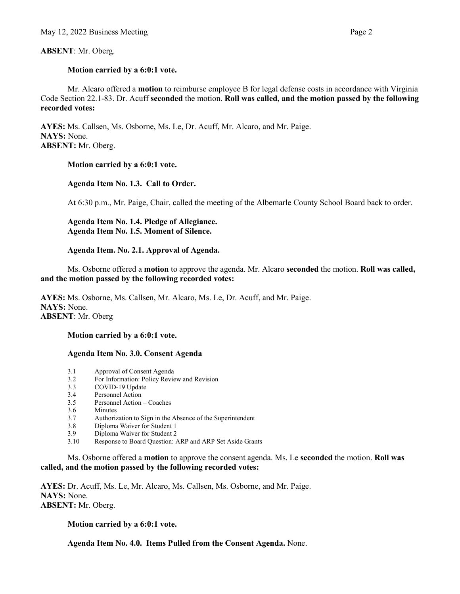## **Motion carried by a 6:0:1 vote.**

Mr. Alcaro offered a **motion** to reimburse employee B for legal defense costs in accordance with Virginia Code Section 22.1-83. Dr. Acuff **seconded** the motion. **Roll was called, and the motion passed by the following recorded votes:**

**AYES:** Ms. Callsen, Ms. Osborne, Ms. Le, Dr. Acuff, Mr. Alcaro, and Mr. Paige. **NAYS:** None. **ABSENT:** Mr. Oberg.

## **Motion carried by a 6:0:1 vote.**

## **Agenda Item No. 1.3. Call to Order.**

At 6:30 p.m., Mr. Paige, Chair, called the meeting of the Albemarle County School Board back to order.

## **Agenda Item No. 1.4. Pledge of Allegiance. Agenda Item No. 1.5. Moment of Silence.**

**Agenda Item. No. 2.1. Approval of Agenda.**

Ms. Osborne offered a **motion** to approve the agenda. Mr. Alcaro **seconded** the motion. **Roll was called, and the motion passed by the following recorded votes:** 

**AYES:** Ms. Osborne, Ms. Callsen, Mr. Alcaro, Ms. Le, Dr. Acuff, and Mr. Paige. **NAYS:** None. **ABSENT**: Mr. Oberg

### **Motion carried by a 6:0:1 vote.**

### **Agenda Item No. 3.0. Consent Agenda**

- 3.1 Approval of Consent Agenda<br>3.2 For Information: Policy Revie
- 3.2 For Information: Policy Review and Revision<br>3.3 COVID-19 Update
- COVID-19 Update
- 3.4 Personnel Action
- 3.5 Personnel Action Coaches
- 3.6 Minutes<br>3.7 Authoriz
- Authorization to Sign in the Absence of the Superintendent
- 3.8 Diploma Waiver for Student 1
- 3.9 Diploma Waiver for Student 2
- 3.10 Response to Board Question: ARP and ARP Set Aside Grants

Ms. Osborne offered a **motion** to approve the consent agenda. Ms. Le **seconded** the motion. **Roll was called, and the motion passed by the following recorded votes:**

**AYES:** Dr. Acuff, Ms. Le, Mr. Alcaro, Ms. Callsen, Ms. Osborne, and Mr. Paige. **NAYS:** None. **ABSENT:** Mr. Oberg.

**Motion carried by a 6:0:1 vote.** 

**Agenda Item No. 4.0. Items Pulled from the Consent Agenda.** None.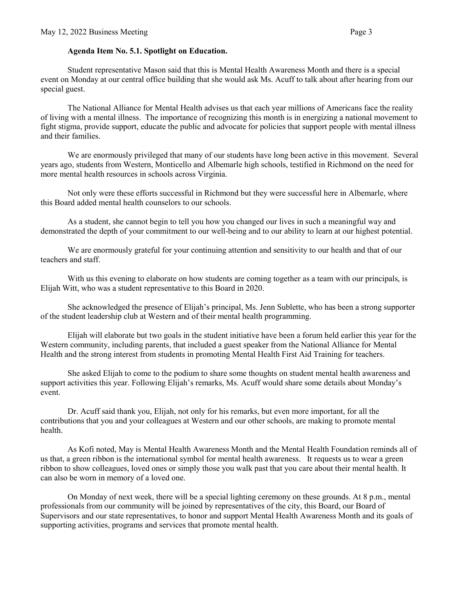### **Agenda Item No. 5.1. Spotlight on Education.**

Student representative Mason said that this is Mental Health Awareness Month and there is a special event on Monday at our central office building that she would ask Ms. Acuff to talk about after hearing from our special guest.

The National Alliance for Mental Health advises us that each year millions of Americans face the reality of living with a mental illness. The importance of recognizing this month is in energizing a national movement to fight stigma, provide support, educate the public and advocate for policies that support people with mental illness and their families.

We are enormously privileged that many of our students have long been active in this movement. Several years ago, students from Western, Monticello and Albemarle high schools, testified in Richmond on the need for more mental health resources in schools across Virginia.

Not only were these efforts successful in Richmond but they were successful here in Albemarle, where this Board added mental health counselors to our schools.

As a student, she cannot begin to tell you how you changed our lives in such a meaningful way and demonstrated the depth of your commitment to our well-being and to our ability to learn at our highest potential.

We are enormously grateful for your continuing attention and sensitivity to our health and that of our teachers and staff.

With us this evening to elaborate on how students are coming together as a team with our principals, is Elijah Witt, who was a student representative to this Board in 2020.

She acknowledged the presence of Elijah's principal, Ms. Jenn Sublette, who has been a strong supporter of the student leadership club at Western and of their mental health programming.

Elijah will elaborate but two goals in the student initiative have been a forum held earlier this year for the Western community, including parents, that included a guest speaker from the National Alliance for Mental Health and the strong interest from students in promoting Mental Health First Aid Training for teachers.

She asked Elijah to come to the podium to share some thoughts on student mental health awareness and support activities this year. Following Elijah's remarks, Ms. Acuff would share some details about Monday's event.

Dr. Acuff said thank you, Elijah, not only for his remarks, but even more important, for all the contributions that you and your colleagues at Western and our other schools, are making to promote mental health.

As Kofi noted, May is Mental Health Awareness Month and the Mental Health Foundation reminds all of us that, a green ribbon is the international symbol for mental health awareness. It requests us to wear a green ribbon to show colleagues, loved ones or simply those you walk past that you care about their mental health. It can also be worn in memory of a loved one.

On Monday of next week, there will be a special lighting ceremony on these grounds. At 8 p.m., mental professionals from our community will be joined by representatives of the city, this Board, our Board of Supervisors and our state representatives, to honor and support Mental Health Awareness Month and its goals of supporting activities, programs and services that promote mental health.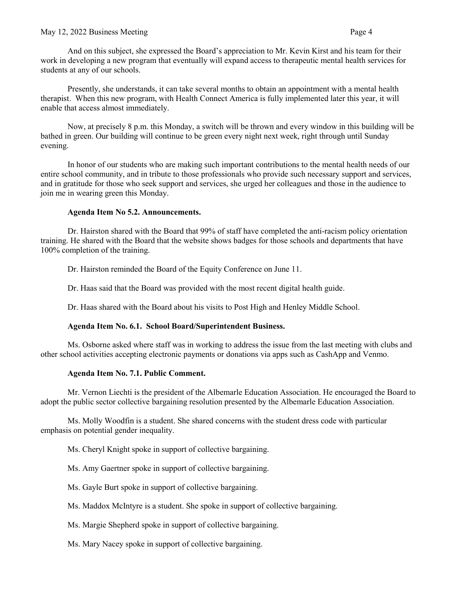#### May 12, 2022 Business Meeting Page 4

And on this subject, she expressed the Board's appreciation to Mr. Kevin Kirst and his team for their work in developing a new program that eventually will expand access to therapeutic mental health services for students at any of our schools.

Presently, she understands, it can take several months to obtain an appointment with a mental health therapist. When this new program, with Health Connect America is fully implemented later this year, it will enable that access almost immediately.

Now, at precisely 8 p.m. this Monday, a switch will be thrown and every window in this building will be bathed in green. Our building will continue to be green every night next week, right through until Sunday evening.

In honor of our students who are making such important contributions to the mental health needs of our entire school community, and in tribute to those professionals who provide such necessary support and services, and in gratitude for those who seek support and services, she urged her colleagues and those in the audience to join me in wearing green this Monday.

#### **Agenda Item No 5.2. Announcements.**

Dr. Hairston shared with the Board that 99% of staff have completed the anti-racism policy orientation training. He shared with the Board that the website shows badges for those schools and departments that have 100% completion of the training.

Dr. Hairston reminded the Board of the Equity Conference on June 11.

Dr. Haas said that the Board was provided with the most recent digital health guide.

Dr. Haas shared with the Board about his visits to Post High and Henley Middle School.

### **Agenda Item No. 6.1. School Board/Superintendent Business.**

Ms. Osborne asked where staff was in working to address the issue from the last meeting with clubs and other school activities accepting electronic payments or donations via apps such as CashApp and Venmo.

### **Agenda Item No. 7.1. Public Comment.**

Mr. Vernon Liechti is the president of the Albemarle Education Association. He encouraged the Board to adopt the public sector collective bargaining resolution presented by the Albemarle Education Association.

Ms. Molly Woodfin is a student. She shared concerns with the student dress code with particular emphasis on potential gender inequality.

Ms. Cheryl Knight spoke in support of collective bargaining.

Ms. Amy Gaertner spoke in support of collective bargaining.

Ms. Gayle Burt spoke in support of collective bargaining.

Ms. Maddox McIntyre is a student. She spoke in support of collective bargaining.

Ms. Margie Shepherd spoke in support of collective bargaining.

Ms. Mary Nacey spoke in support of collective bargaining.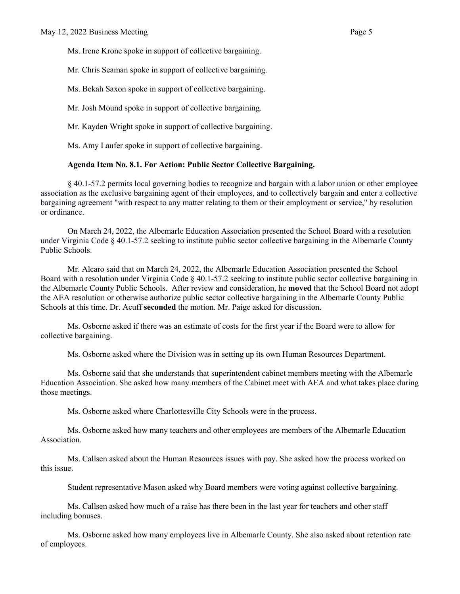Ms. Irene Krone spoke in support of collective bargaining.

Mr. Chris Seaman spoke in support of collective bargaining.

Ms. Bekah Saxon spoke in support of collective bargaining.

Mr. Josh Mound spoke in support of collective bargaining.

Mr. Kayden Wright spoke in support of collective bargaining.

Ms. Amy Laufer spoke in support of collective bargaining.

### **Agenda Item No. 8.1. For Action: Public Sector Collective Bargaining.**

§ 40.1-57.2 permits local governing bodies to recognize and bargain with a labor union or other employee association as the exclusive bargaining agent of their employees, and to collectively bargain and enter a collective bargaining agreement "with respect to any matter relating to them or their employment or service," by resolution or ordinance.

On March 24, 2022, the Albemarle Education Association presented the School Board with a resolution under Virginia Code § 40.1-57.2 seeking to institute public sector collective bargaining in the Albemarle County Public Schools.

Mr. Alcaro said that on March 24, 2022, the Albemarle Education Association presented the School Board with a resolution under Virginia Code  $\S 40.1-57.2$  seeking to institute public sector collective bargaining in the Albemarle County Public Schools. After review and consideration, he **moved** that the School Board not adopt the AEA resolution or otherwise authorize public sector collective bargaining in the Albemarle County Public Schools at this time. Dr. Acuff **seconded** the motion. Mr. Paige asked for discussion.

Ms. Osborne asked if there was an estimate of costs for the first year if the Board were to allow for collective bargaining.

Ms. Osborne asked where the Division was in setting up its own Human Resources Department.

 Ms. Osborne said that she understands that superintendent cabinet members meeting with the Albemarle Education Association. She asked how many members of the Cabinet meet with AEA and what takes place during those meetings.

Ms. Osborne asked where Charlottesville City Schools were in the process.

Ms. Osborne asked how many teachers and other employees are members of the Albemarle Education Association.

Ms. Callsen asked about the Human Resources issues with pay. She asked how the process worked on this issue.

Student representative Mason asked why Board members were voting against collective bargaining.

Ms. Callsen asked how much of a raise has there been in the last year for teachers and other staff including bonuses.

Ms. Osborne asked how many employees live in Albemarle County. She also asked about retention rate of employees.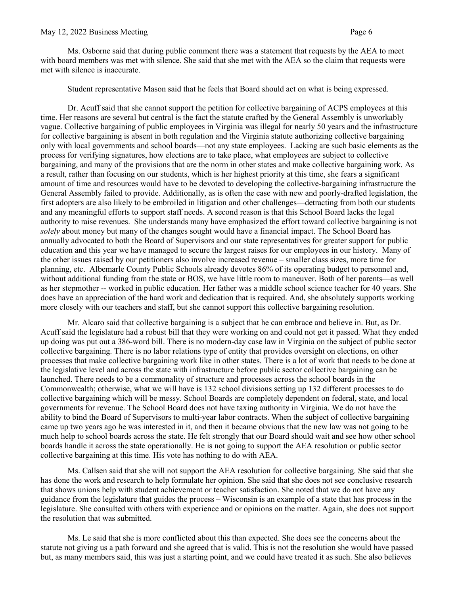Ms. Osborne said that during public comment there was a statement that requests by the AEA to meet with board members was met with silence. She said that she met with the AEA so the claim that requests were met with silence is inaccurate.

Student representative Mason said that he feels that Board should act on what is being expressed.

Dr. Acuff said that she cannot support the petition for collective bargaining of ACPS employees at this time. Her reasons are several but central is the fact the statute crafted by the General Assembly is unworkably vague. Collective bargaining of public employees in Virginia was illegal for nearly 50 years and the infrastructure for collective bargaining is absent in both regulation and the Virginia statute authorizing collective bargaining only with local governments and school boards—not any state employees. Lacking are such basic elements as the process for verifying signatures, how elections are to take place, what employees are subject to collective bargaining, and many of the provisions that are the norm in other states and make collective bargaining work. As a result, rather than focusing on our students, which is her highest priority at this time, she fears a significant amount of time and resources would have to be devoted to developing the collective-bargaining infrastructure the General Assembly failed to provide. Additionally, as is often the case with new and poorly-drafted legislation, the first adopters are also likely to be embroiled in litigation and other challenges—detracting from both our students and any meaningful efforts to support staff needs. A second reason is that this School Board lacks the legal authority to raise revenues. She understands many have emphasized the effort toward collective bargaining is not *solely* about money but many of the changes sought would have a financial impact. The School Board has annually advocated to both the Board of Supervisors and our state representatives for greater support for public education and this year we have managed to secure the largest raises for our employees in our history. Many of the other issues raised by our petitioners also involve increased revenue – smaller class sizes, more time for planning, etc. Albemarle County Public Schools already devotes 86% of its operating budget to personnel and, without additional funding from the state or BOS, we have little room to maneuver. Both of her parents—as well as her stepmother -- worked in public education. Her father was a middle school science teacher for 40 years. She does have an appreciation of the hard work and dedication that is required. And, she absolutely supports working more closely with our teachers and staff, but she cannot support this collective bargaining resolution.

Mr. Alcaro said that collective bargaining is a subject that he can embrace and believe in. But, as Dr. Acuff said the legislature had a robust bill that they were working on and could not get it passed. What they ended up doing was put out a 386-word bill. There is no modern-day case law in Virginia on the subject of public sector collective bargaining. There is no labor relations type of entity that provides oversight on elections, on other processes that make collective bargaining work like in other states. There is a lot of work that needs to be done at the legislative level and across the state with infrastructure before public sector collective bargaining can be launched. There needs to be a commonality of structure and processes across the school boards in the Commonwealth; otherwise, what we will have is 132 school divisions setting up 132 different processes to do collective bargaining which will be messy. School Boards are completely dependent on federal, state, and local governments for revenue. The School Board does not have taxing authority in Virginia. We do not have the ability to bind the Board of Supervisors to multi-year labor contracts. When the subject of collective bargaining came up two years ago he was interested in it, and then it became obvious that the new law was not going to be much help to school boards across the state. He felt strongly that our Board should wait and see how other school boards handle it across the state operationally. He is not going to support the AEA resolution or public sector collective bargaining at this time. His vote has nothing to do with AEA.

Ms. Callsen said that she will not support the AEA resolution for collective bargaining. She said that she has done the work and research to help formulate her opinion. She said that she does not see conclusive research that shows unions help with student achievement or teacher satisfaction. She noted that we do not have any guidance from the legislature that guides the process – Wisconsin is an example of a state that has process in the legislature. She consulted with others with experience and or opinions on the matter. Again, she does not support the resolution that was submitted.

Ms. Le said that she is more conflicted about this than expected. She does see the concerns about the statute not giving us a path forward and she agreed that is valid. This is not the resolution she would have passed but, as many members said, this was just a starting point, and we could have treated it as such. She also believes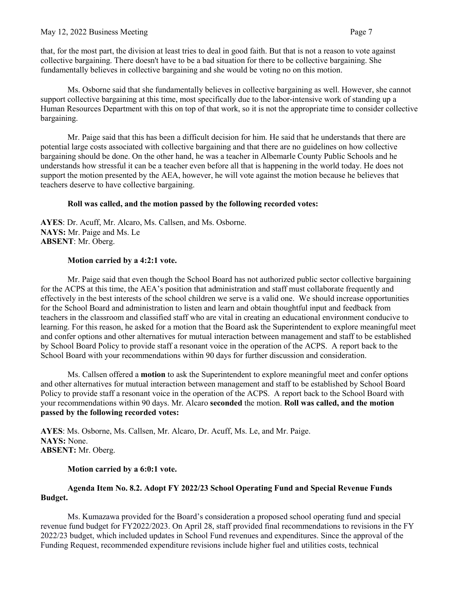that, for the most part, the division at least tries to deal in good faith. But that is not a reason to vote against collective bargaining. There doesn't have to be a bad situation for there to be collective bargaining. She fundamentally believes in collective bargaining and she would be voting no on this motion.

Ms. Osborne said that she fundamentally believes in collective bargaining as well. However, she cannot support collective bargaining at this time, most specifically due to the labor-intensive work of standing up a Human Resources Department with this on top of that work, so it is not the appropriate time to consider collective bargaining.

Mr. Paige said that this has been a difficult decision for him. He said that he understands that there are potential large costs associated with collective bargaining and that there are no guidelines on how collective bargaining should be done. On the other hand, he was a teacher in Albemarle County Public Schools and he understands how stressful it can be a teacher even before all that is happening in the world today. He does not support the motion presented by the AEA, however, he will vote against the motion because he believes that teachers deserve to have collective bargaining.

## **Roll was called, and the motion passed by the following recorded votes:**

**AYES**: Dr. Acuff, Mr. Alcaro, Ms. Callsen, and Ms. Osborne. **NAYS:** Mr. Paige and Ms. Le **ABSENT**: Mr. Oberg.

## **Motion carried by a 4:2:1 vote.**

Mr. Paige said that even though the School Board has not authorized public sector collective bargaining for the ACPS at this time, the AEA's position that administration and staff must collaborate frequently and effectively in the best interests of the school children we serve is a valid one. We should increase opportunities for the School Board and administration to listen and learn and obtain thoughtful input and feedback from teachers in the classroom and classified staff who are vital in creating an educational environment conducive to learning. For this reason, he asked for a motion that the Board ask the Superintendent to explore meaningful meet and confer options and other alternatives for mutual interaction between management and staff to be established by School Board Policy to provide staff a resonant voice in the operation of the ACPS. A report back to the School Board with your recommendations within 90 days for further discussion and consideration.

Ms. Callsen offered a **motion** to ask the Superintendent to explore meaningful meet and confer options and other alternatives for mutual interaction between management and staff to be established by School Board Policy to provide staff a resonant voice in the operation of the ACPS. A report back to the School Board with your recommendations within 90 days. Mr. Alcaro **seconded** the motion. **Roll was called, and the motion passed by the following recorded votes:**

**AYES**: Ms. Osborne, Ms. Callsen, Mr. Alcaro, Dr. Acuff, Ms. Le, and Mr. Paige. **NAYS:** None. **ABSENT:** Mr. Oberg.

**Motion carried by a 6:0:1 vote.** 

## **Agenda Item No. 8.2. Adopt FY 2022/23 School Operating Fund and Special Revenue Funds Budget.**

Ms. Kumazawa provided for the Board's consideration a proposed school operating fund and special revenue fund budget for FY2022/2023. On April 28, staff provided final recommendations to revisions in the FY 2022/23 budget, which included updates in School Fund revenues and expenditures. Since the approval of the Funding Request, recommended expenditure revisions include higher fuel and utilities costs, technical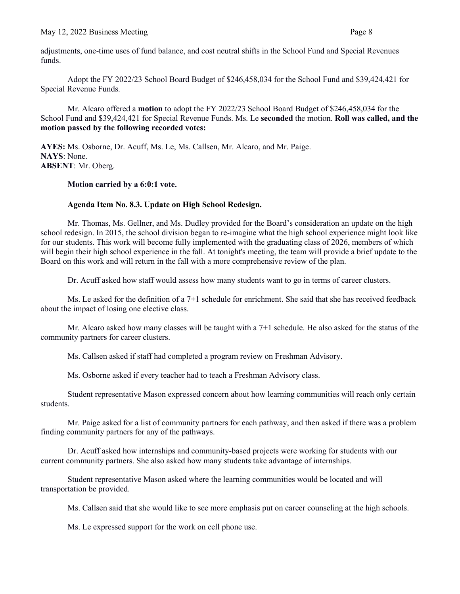adjustments, one-time uses of fund balance, and cost neutral shifts in the School Fund and Special Revenues funds.

Adopt the FY 2022/23 School Board Budget of \$246,458,034 for the School Fund and \$39,424,421 for Special Revenue Funds.

Mr. Alcaro offered a **motion** to adopt the FY 2022/23 School Board Budget of \$246,458,034 for the School Fund and \$39,424,421 for Special Revenue Funds. Ms. Le **seconded** the motion. **Roll was called, and the motion passed by the following recorded votes:**

**AYES:** Ms. Osborne, Dr. Acuff, Ms. Le, Ms. Callsen, Mr. Alcaro, and Mr. Paige. **NAYS**: None. **ABSENT**: Mr. Oberg.

#### **Motion carried by a 6:0:1 vote.**

### **Agenda Item No. 8.3. Update on High School Redesign.**

Mr. Thomas, Ms. Gellner, and Ms. Dudley provided for the Board's consideration an update on the high school redesign. In 2015, the school division began to re-imagine what the high school experience might look like for our students. This work will become fully implemented with the graduating class of 2026, members of which will begin their high school experience in the fall. At tonight's meeting, the team will provide a brief update to the Board on this work and will return in the fall with a more comprehensive review of the plan.

Dr. Acuff asked how staff would assess how many students want to go in terms of career clusters.

Ms. Le asked for the definition of a 7+1 schedule for enrichment. She said that she has received feedback about the impact of losing one elective class.

Mr. Alcaro asked how many classes will be taught with a 7+1 schedule. He also asked for the status of the community partners for career clusters.

Ms. Callsen asked if staff had completed a program review on Freshman Advisory.

Ms. Osborne asked if every teacher had to teach a Freshman Advisory class.

Student representative Mason expressed concern about how learning communities will reach only certain students.

Mr. Paige asked for a list of community partners for each pathway, and then asked if there was a problem finding community partners for any of the pathways.

Dr. Acuff asked how internships and community-based projects were working for students with our current community partners. She also asked how many students take advantage of internships.

Student representative Mason asked where the learning communities would be located and will transportation be provided.

Ms. Callsen said that she would like to see more emphasis put on career counseling at the high schools.

Ms. Le expressed support for the work on cell phone use.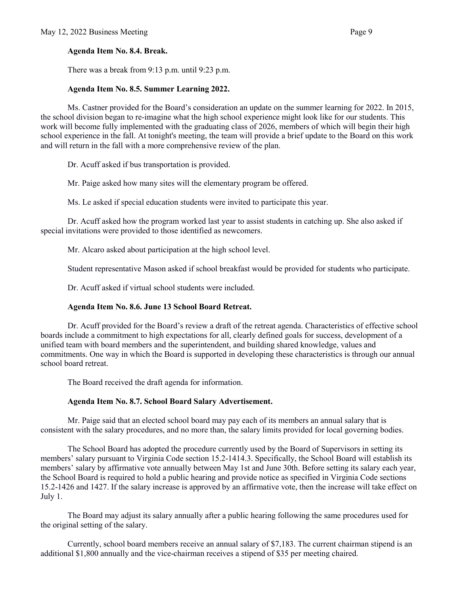# **Agenda Item No. 8.4. Break.**

There was a break from 9:13 p.m. until 9:23 p.m.

## **Agenda Item No. 8.5. Summer Learning 2022.**

Ms. Castner provided for the Board's consideration an update on the summer learning for 2022. In 2015, the school division began to re-imagine what the high school experience might look like for our students. This work will become fully implemented with the graduating class of 2026, members of which will begin their high school experience in the fall. At tonight's meeting, the team will provide a brief update to the Board on this work and will return in the fall with a more comprehensive review of the plan.

Dr. Acuff asked if bus transportation is provided.

Mr. Paige asked how many sites will the elementary program be offered.

Ms. Le asked if special education students were invited to participate this year.

Dr. Acuff asked how the program worked last year to assist students in catching up. She also asked if special invitations were provided to those identified as newcomers.

Mr. Alcaro asked about participation at the high school level.

Student representative Mason asked if school breakfast would be provided for students who participate.

Dr. Acuff asked if virtual school students were included.

# **Agenda Item No. 8.6. June 13 School Board Retreat.**

Dr. Acuff provided for the Board's review a draft of the retreat agenda. Characteristics of effective school boards include a commitment to high expectations for all, clearly defined goals for success, development of a unified team with board members and the superintendent, and building shared knowledge, values and commitments. One way in which the Board is supported in developing these characteristics is through our annual school board retreat.

The Board received the draft agenda for information.

### **Agenda Item No. 8.7. School Board Salary Advertisement.**

Mr. Paige said that an elected school board may pay each of its members an annual salary that is consistent with the salary procedures, and no more than, the salary limits provided for local governing bodies.

The School Board has adopted the procedure currently used by the Board of Supervisors in setting its members' salary pursuant to Virginia Code section 15.2-1414.3. Specifically, the School Board will establish its members' salary by affirmative vote annually between May 1st and June 30th. Before setting its salary each year, the School Board is required to hold a public hearing and provide notice as specified in Virginia Code sections 15.2-1426 and 1427. If the salary increase is approved by an affirmative vote, then the increase will take effect on July 1.

The Board may adjust its salary annually after a public hearing following the same procedures used for the original setting of the salary.

Currently, school board members receive an annual salary of \$7,183. The current chairman stipend is an additional \$1,800 annually and the vice-chairman receives a stipend of \$35 per meeting chaired.